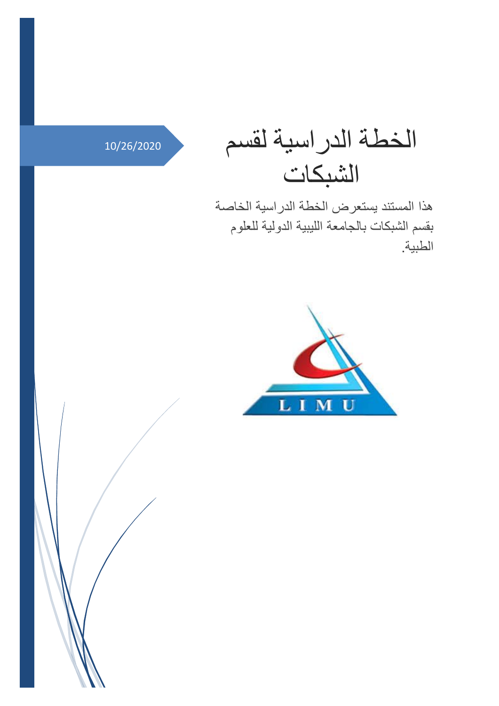## الخطة الدراسية لقسم 10/26/2020

هذا المستند يستعرض الخطة الدراسية الخاصة بقسم الشبكات بالجامعة الليبية الدولية للعلوم الطبية.

الشبكات



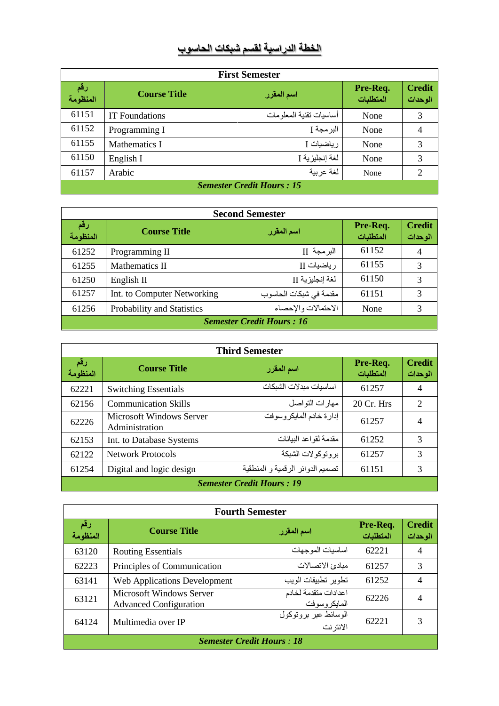## **الخطة الدراسية لقسم شبكات الحاسوب**

| <b>First Semester</b>            |                       |                          |                       |                          |  |
|----------------------------------|-----------------------|--------------------------|-----------------------|--------------------------|--|
| رقم<br>المنظومة                  | <b>Course Title</b>   | اسم المقرر               | Pre-Req.<br>المتطلبات | <b>Credit</b><br>الوحدات |  |
| 61151                            | <b>IT</b> Foundations | أساسيات تقنية المعلو مات | None                  | 3                        |  |
| 61152                            | Programming I         | البر مجة ]               | None                  | 4                        |  |
| 61155                            | Mathematics I         | ر ياضيات I               | None                  | 3                        |  |
| 61150                            | English I             | لغة إنجليز ية I          | None                  | 3                        |  |
| 61157                            | Arabic                | لغة عربية                | None                  | $\mathcal{D}$            |  |
| <b>Semester Credit Hours: 15</b> |                       |                          |                       |                          |  |

| <b>Second Semester</b>           |                             |                        |                       |                          |  |
|----------------------------------|-----------------------------|------------------------|-----------------------|--------------------------|--|
| رقم<br>المنظومة                  | <b>Course Title</b>         | اسم المقرر             | Pre-Req.<br>المتطلبات | <b>Credit</b><br>الوحدات |  |
| 61252                            | Programming II              | البر مجة II            | 61152                 | 4                        |  |
| 61255                            | Mathematics II              | ر ياضيات II            | 61155                 | 3                        |  |
| 61250                            | English II                  | لغة إنجليز ية ∏        | 61150                 | 3                        |  |
| 61257                            | Int. to Computer Networking | مقدمة في شبكات الحاسوب | 61151                 | 3                        |  |
| 61256                            | Probability and Statistics  | الاحتمالات و الإحصاء   | None                  | 3                        |  |
| <b>Semester Credit Hours: 16</b> |                             |                        |                       |                          |  |

| <b>Third Semester</b>            |                                                   |                                  |                       |                          |  |
|----------------------------------|---------------------------------------------------|----------------------------------|-----------------------|--------------------------|--|
| رقم<br>المنظومة                  | <b>Course Title</b>                               | اسم المقرر                       | Pre-Req.<br>المتطلبات | <b>Credit</b><br>الوحدات |  |
| 62221                            | <b>Switching Essentials</b>                       | اساسيات مبدلات الشبكات           | 61257                 | 4                        |  |
| 62156                            | <b>Communication Skills</b>                       | مهارات التواصل                   | $20 \,$ Cr. Hrs       | 2                        |  |
| 62226                            | <b>Microsoft Windows Server</b><br>Administration | إدارة خادم المايكر وسوفت         | 61257                 | 4                        |  |
| 62153                            | Int. to Database Systems                          | مقدمة لقواعد البيانات            | 61252                 | 3                        |  |
| 62122                            | <b>Network Protocols</b>                          | بر و تو كو لات الشبكة            | 61257                 | 3                        |  |
| 61254                            | Digital and logic design                          | تصميم الدوائر الرقمية و المنطقية | 61151                 | 3                        |  |
| <b>Semester Credit Hours: 19</b> |                                                   |                                  |                       |                          |  |

| <b>Fourth Semester</b>           |                                                                  |                                      |                       |                          |  |
|----------------------------------|------------------------------------------------------------------|--------------------------------------|-----------------------|--------------------------|--|
| رقم<br>المنظومة                  | <b>Course Title</b>                                              | اسم المقرر                           | Pre-Req.<br>المتطلبات | <b>Credit</b><br>الوحدات |  |
| 63120                            | <b>Routing Essentials</b>                                        | اساسيات الموجهات                     | 62221                 | 4                        |  |
| 62223                            | Principles of Communication                                      | مبادئ الاتصالات                      | 61257                 | 3                        |  |
| 63141                            | <b>Web Applications Development</b>                              | تطوير تطبيقات الويب                  | 61252                 | 4                        |  |
| 63121                            | <b>Microsoft Windows Server</b><br><b>Advanced Configuration</b> | اعدادات متقدمة لخادم<br>المايكروسوفت | 62226                 | 4                        |  |
| 64124                            | Multimedia over IP                                               | الوسائط عبر بروتوكول<br>الانتر نت    | 62221                 | 3                        |  |
| <b>Semester Credit Hours: 18</b> |                                                                  |                                      |                       |                          |  |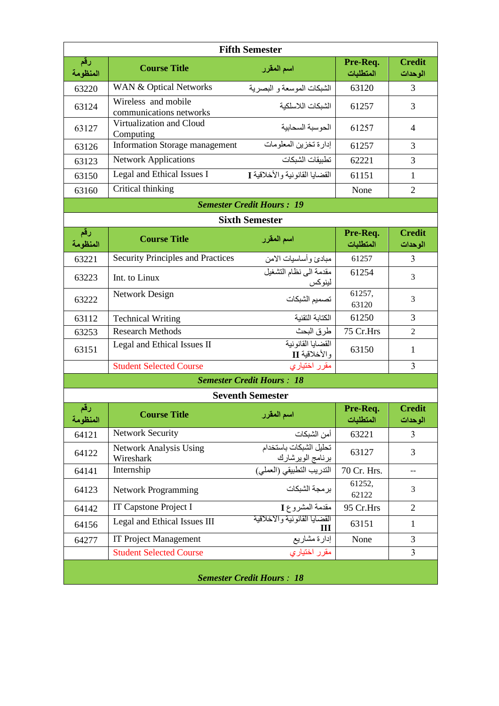| <b>Fifth Semester</b>            |                                                                   |                                            |                       |                          |
|----------------------------------|-------------------------------------------------------------------|--------------------------------------------|-----------------------|--------------------------|
| رقم<br>المنظومة                  | <b>Course Title</b>                                               | اسم المقرر                                 | Pre-Req.<br>المتطلبات | <b>Credit</b><br>الوحدات |
| 63220                            | WAN & Optical Networks                                            | الشبكات الموسعة و البصرية                  | 63120                 | 3                        |
| 63124                            | Wireless and mobile<br>communications networks                    | الشبكات اللاسلكية                          | 61257                 | 3                        |
| 63127                            | Virtualization and Cloud<br>Computing                             | الحوسبة السحابية                           | 61257                 | 4                        |
| 63126                            | <b>Information Storage management</b>                             | إدارة تخزين المعلومات                      | 61257                 | 3                        |
| 63123                            | <b>Network Applications</b>                                       | تطبيقات الشبكات                            | 62221                 | 3                        |
| 63150                            | Legal and Ethical Issues I                                        | القضايا القانونية والأخلاقية ]             | 61151                 | $\mathbf{1}$             |
| 63160                            | Critical thinking                                                 |                                            | None                  | $\overline{2}$           |
|                                  |                                                                   | <b>Semester Credit Hours: 19</b>           |                       |                          |
|                                  |                                                                   | <b>Sixth Semester</b>                      |                       |                          |
| رقم<br>المنظومة                  | <b>Course Title</b>                                               | اسم المقرر                                 | Pre-Req.<br>المتطلبات | <b>Credit</b><br>الوحدات |
| 63221                            | <b>Security Principles and Practices</b>                          | مبادئ وأساسيات الامن                       | 61257                 | 3                        |
| 63223                            | Int. to Linux                                                     | مقدمة الى نظام التشغيل<br>لينوكس           | 61254                 | 3                        |
| 63222                            | Network Design                                                    | تصميم الشبكات                              | 61257,<br>63120       | 3                        |
| 63112                            | <b>Technical Writing</b>                                          | الكتابة التقنية                            | 61250                 | 3                        |
| 63253                            | <b>Research Methods</b>                                           | طرق البحث                                  | 75 Cr.Hrs             | $\overline{c}$           |
| 63151                            | القضايا القانونية<br>Legal and Ethical Issues II<br>والأخلاقية II |                                            | 63150                 | 1                        |
|                                  | <b>Student Selected Course</b>                                    | مقرر اختياري                               |                       | 3                        |
|                                  |                                                                   | <b>Semester Credit Hours: 18</b>           |                       |                          |
|                                  |                                                                   | <b>Seventh Semester</b>                    |                       |                          |
| رقم<br>المنظومة                  | <b>Course Title</b>                                               | اسم المقرر                                 | Pre-Req.<br>المتطلبات | <b>Credit</b><br>الوحدات |
| 64121                            | <b>Network Security</b>                                           | أمن الشبكات                                | 63221                 | 3                        |
| 64122                            | Network Analysis Using<br>Wireshark                               | تحليل الشبكات باستخدام<br>برنامج الويرشارك | 63127                 | 3                        |
| 64141                            | Internship                                                        | الندريب النطبيقي (العملي)                  | 70 Cr. Hrs.           | $-$                      |
| 64123                            | <b>Network Programming</b>                                        | برمجة الشبكات                              | 61252,<br>62122       | 3                        |
| 64142                            | IT Capstone Project I                                             | مقدمة المشروع I                            | 95 Cr.Hrs             | $\overline{2}$           |
| 64156                            | Legal and Ethical Issues III                                      | القضايا القانونية والاخلاقية<br>III        | 63151                 | 1                        |
| 64277                            | <b>IT Project Management</b>                                      | إدارة مشاريع                               | None                  | 3                        |
|                                  | <b>Student Selected Course</b>                                    | مقرر اختياري                               |                       | 3                        |
| <b>Semester Credit Hours: 18</b> |                                                                   |                                            |                       |                          |